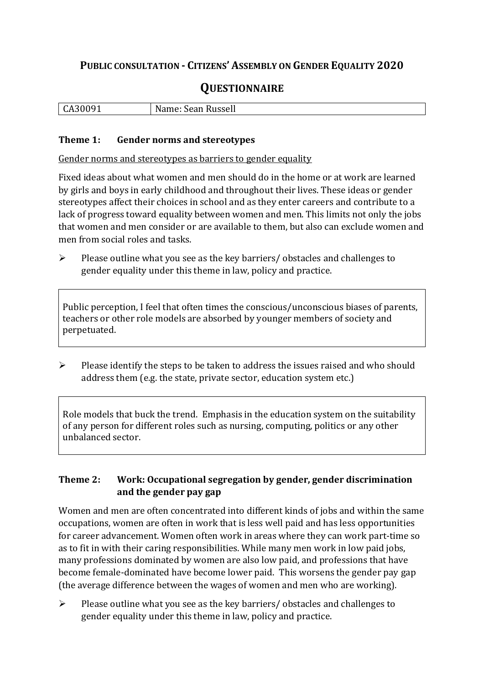# **PUBLIC CONSULTATION - CITIZENS' ASSEMBLY ON GENDER EQUALITY 2020**

# **QUESTIONNAIRE**

| . .<br>ິ | <br>N.<br>$\sim$ $\sim$ $\sim$<br>Russell<br>- pean |
|----------|-----------------------------------------------------|
|          |                                                     |

#### **Theme 1: Gender norms and stereotypes**

Gender norms and stereotypes as barriers to gender equality

Fixed ideas about what women and men should do in the home or at work are learned by girls and boys in early childhood and throughout their lives. These ideas or gender stereotypes affect their choices in school and as they enter careers and contribute to a lack of progress toward equality between women and men. This limits not only the jobs that women and men consider or are available to them, but also can exclude women and men from social roles and tasks.

➢ Please outline what you see as the key barriers/ obstacles and challenges to gender equality under this theme in law, policy and practice.

Public perception, I feel that often times the conscious/unconscious biases of parents, teachers or other role models are absorbed by younger members of society and perpetuated.

➢ Please identify the steps to be taken to address the issues raised and who should address them (e.g. the state, private sector, education system etc.)

Role models that buck the trend. Emphasis in the education system on the suitability of any person for different roles such as nursing, computing, politics or any other unbalanced sector.

# **Theme 2: Work: Occupational segregation by gender, gender discrimination and the gender pay gap**

Women and men are often concentrated into different kinds of jobs and within the same occupations, women are often in work that is less well paid and has less opportunities for career advancement. Women often work in areas where they can work part-time so as to fit in with their caring responsibilities. While many men work in low paid jobs, many professions dominated by women are also low paid, and professions that have become female-dominated have become lower paid. This worsens the gender pay gap (the average difference between the wages of women and men who are working).

➢ Please outline what you see as the key barriers/ obstacles and challenges to gender equality under this theme in law, policy and practice.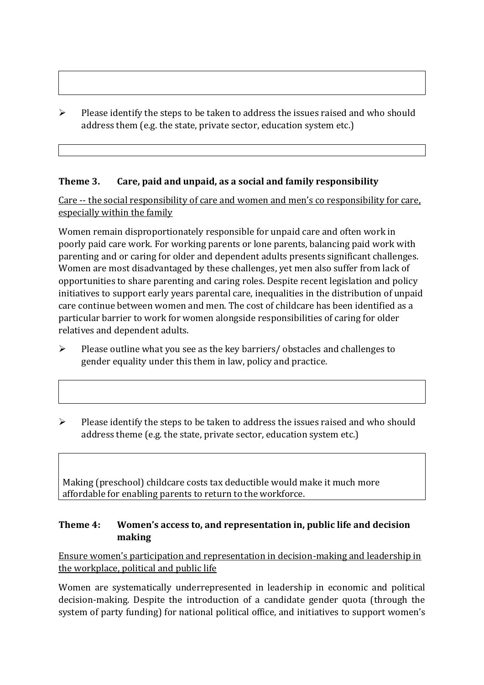$\triangleright$  Please identify the steps to be taken to address the issues raised and who should address them (e.g. the state, private sector, education system etc.)

## **Theme 3. Care, paid and unpaid, as a social and family responsibility**

Care -- the social responsibility of care and women and men's co responsibility for care, especially within the family

Women remain disproportionately responsible for unpaid care and often work in poorly paid care work. For working parents or [lone parents,](https://aran.library.nuigalway.ie/bitstream/handle/10379/6044/Millar_and_Crosse_Activation_Report.pdf?sequence=1&isAllowed=y) balancing paid work with parenting and or caring for older and dependent adults presents significant challenges. Women are [most disadvantaged by these challenges,](https://eige.europa.eu/gender-equality-index/game/IE/W) yet men also suffer from lack of opportunities to share parenting and caring roles. Despite recent legislation and policy initiatives to support early years parental care, [inequalities in the distribution of unpaid](https://www.ihrec.ie/app/uploads/2019/07/Caring-and-Unpaid-Work-in-Ireland_Final.pdf)  [care](https://www.ihrec.ie/app/uploads/2019/07/Caring-and-Unpaid-Work-in-Ireland_Final.pdf) continue between women and men. The cost of childcare has been identified as a particular barrier to work for women alongside responsibilities of caring for older relatives and dependent adults.

- $\triangleright$  Please outline what you see as the key barriers/ obstacles and challenges to gender equality under this them in law, policy and practice.
- ➢ Please identify the steps to be taken to address the issues raised and who should address theme (e.g. the state, private sector, education system etc.)

Making (preschool) childcare costs tax deductible would make it much more affordable for enabling parents to return to the workforce.

## **Theme 4: Women's access to, and representation in, public life and decision making**

Ensure women's participation and representation in decision-making and leadership in the workplace, political and public life

Women are systematically underrepresented in leadership in [economic](https://eige.europa.eu/gender-equality-index/2019/compare-countries/power/2/bar) and [political](https://eige.europa.eu/gender-equality-index/2019/compare-countries/power/1/bar)  [decision-](https://eige.europa.eu/gender-equality-index/2019/compare-countries/power/1/bar)making. Despite the introduction of a candidate gender quota (through the system of party funding) for national political office, and [initiatives](https://betterbalance.ie/) to support women's